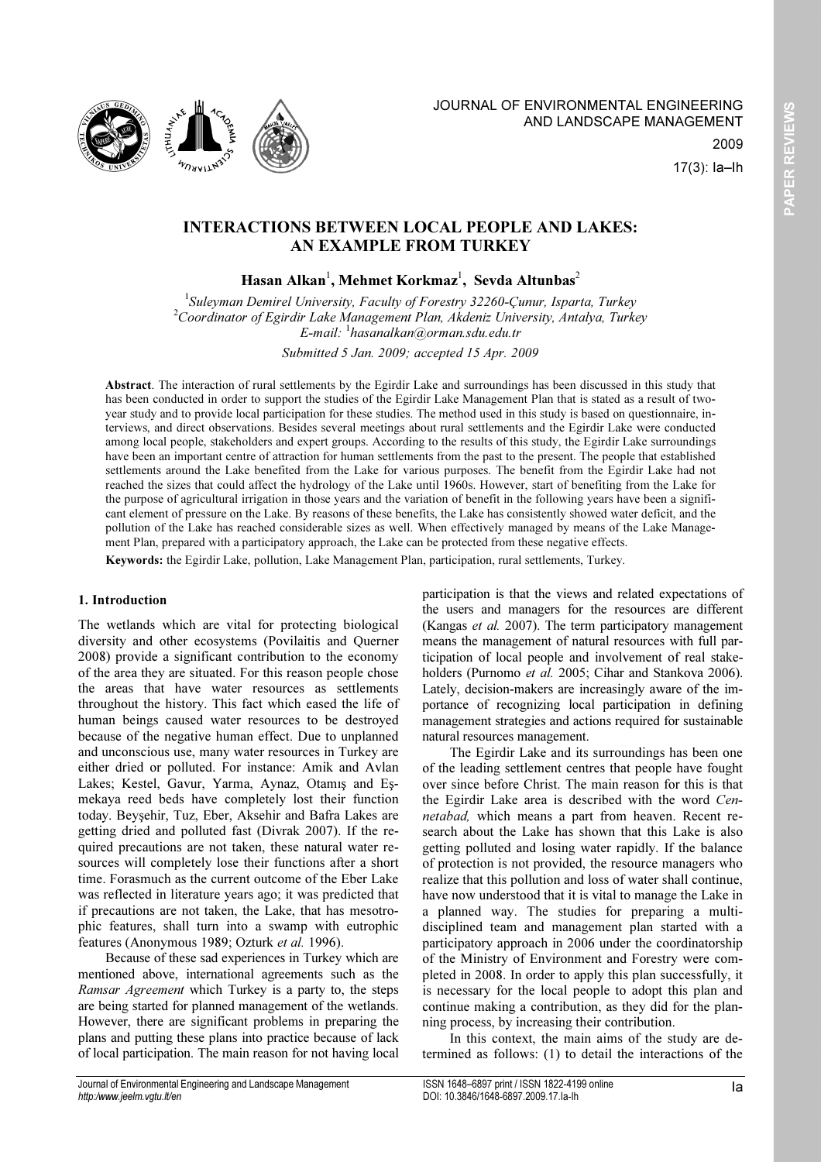

17(3): Ia–Ih

2009

# INTERACTIONS BETWEEN LOCAL PEOPLE AND LAKES: AN EXAMPLE FROM TURKEY

# Hasan Alkan $^{\rm l}$ , Mehmet Korkmaz $^{\rm l}$ , Sevda Altunbas $^{\rm 2}$

<sup>1</sup>Suleyman Demirel University, Faculty of Forestry 32260-Çunur, Isparta, Turkey  $2$ Coordinator of Egirdir Lake Management Plan, Akdeniz University, Antalya, Turkey E-mail: <sup>1</sup> hasanalkan@orman.sdu.edu.tr

Submitted 5 Jan. 2009; accepted 15 Apr. 2009

Abstract. The interaction of rural settlements by the Egirdir Lake and surroundings has been discussed in this study that has been conducted in order to support the studies of the Egirdir Lake Management Plan that is stated as a result of twoyear study and to provide local participation for these studies. The method used in this study is based on questionnaire, interviews, and direct observations. Besides several meetings about rural settlements and the Egirdir Lake were conducted among local people, stakeholders and expert groups. According to the results of this study, the Egirdir Lake surroundings have been an important centre of attraction for human settlements from the past to the present. The people that established settlements around the Lake benefited from the Lake for various purposes. The benefit from the Egirdir Lake had not reached the sizes that could affect the hydrology of the Lake until 1960s. However, start of benefiting from the Lake for the purpose of agricultural irrigation in those years and the variation of benefit in the following years have been a significant element of pressure on the Lake. By reasons of these benefits, the Lake has consistently showed water deficit, and the pollution of the Lake has reached considerable sizes as well. When effectively managed by means of the Lake Management Plan, prepared with a participatory approach, the Lake can be protected from these negative effects.

Keywords: the Egirdir Lake, pollution, Lake Management Plan, participation, rural settlements, Turkey.

## 1. Introduction

The wetlands which are vital for protecting biological diversity and other ecosystems (Povilaitis and Querner 2008) provide a significant contribution to the economy of the area they are situated. For this reason people chose the areas that have water resources as settlements throughout the history. This fact which eased the life of human beings caused water resources to be destroyed because of the negative human effect. Due to unplanned and unconscious use, many water resources in Turkey are either dried or polluted. For instance: Amik and Avlan Lakes; Kestel, Gavur, Yarma, Aynaz, Otamış and Eşmekaya reed beds have completely lost their function today. Beyşehir, Tuz, Eber, Aksehir and Bafra Lakes are getting dried and polluted fast (Divrak 2007). If the required precautions are not taken, these natural water resources will completely lose their functions after a short time. Forasmuch as the current outcome of the Eber Lake was reflected in literature years ago; it was predicted that if precautions are not taken, the Lake, that has mesotrophic features, shall turn into a swamp with eutrophic features (Anonymous 1989; Ozturk et al. 1996).

Because of these sad experiences in Turkey which are mentioned above, international agreements such as the Ramsar Agreement which Turkey is a party to, the steps are being started for planned management of the wetlands. However, there are significant problems in preparing the plans and putting these plans into practice because of lack of local participation. The main reason for not having local

participation is that the views and related expectations of the users and managers for the resources are different (Kangas et al. 2007). The term participatory management means the management of natural resources with full participation of local people and involvement of real stakeholders (Purnomo et al. 2005; Cihar and Stankova 2006). Lately, decision-makers are increasingly aware of the importance of recognizing local participation in defining management strategies and actions required for sustainable natural resources management.

The Egirdir Lake and its surroundings has been one of the leading settlement centres that people have fought over since before Christ. The main reason for this is that the Egirdir Lake area is described with the word Cennetabad, which means a part from heaven. Recent research about the Lake has shown that this Lake is also getting polluted and losing water rapidly. If the balance of protection is not provided, the resource managers who realize that this pollution and loss of water shall continue, have now understood that it is vital to manage the Lake in a planned way. The studies for preparing a multidisciplined team and management plan started with a participatory approach in 2006 under the coordinatorship of the Ministry of Environment and Forestry were completed in 2008. In order to apply this plan successfully, it is necessary for the local people to adopt this plan and continue making a contribution, as they did for the planning process, by increasing their contribution.

In this context, the main aims of the study are determined as follows: (1) to detail the interactions of the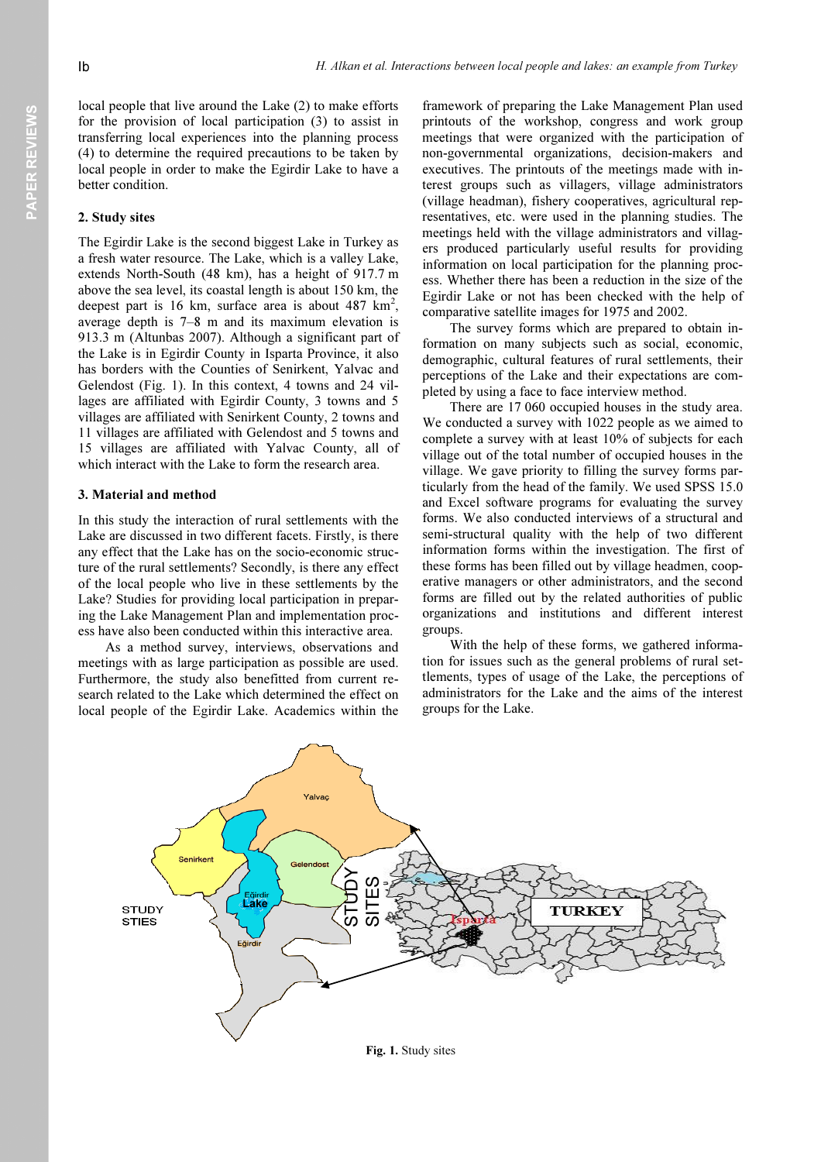local people that live around the Lake (2) to make efforts for the provision of local participation (3) to assist in transferring local experiences into the planning process (4) to determine the required precautions to be taken by local people in order to make the Egirdir Lake to have a better condition.

#### 2. Study sites

The Egirdir Lake is the second biggest Lake in Turkey as a fresh water resource. The Lake, which is a valley Lake, extends North-South (48 km), has a height of 917.7 m above the sea level, its coastal length is about 150 km, the deepest part is 16 km, surface area is about 487  $km^2$ , average depth is 7–8 m and its maximum elevation is 913.3 m (Altunbas 2007). Although a significant part of the Lake is in Egirdir County in Isparta Province, it also has borders with the Counties of Senirkent, Yalvac and Gelendost (Fig. 1). In this context, 4 towns and 24 villages are affiliated with Egirdir County, 3 towns and 5 villages are affiliated with Senirkent County, 2 towns and 11 villages are affiliated with Gelendost and 5 towns and 15 villages are affiliated with Yalvac County, all of which interact with the Lake to form the research area.

#### 3. Material and method

In this study the interaction of rural settlements with the Lake are discussed in two different facets. Firstly, is there any effect that the Lake has on the socio-economic structure of the rural settlements? Secondly, is there any effect of the local people who live in these settlements by the Lake? Studies for providing local participation in preparing the Lake Management Plan and implementation process have also been conducted within this interactive area.

As a method survey, interviews, observations and meetings with as large participation as possible are used. Furthermore, the study also benefitted from current research related to the Lake which determined the effect on local people of the Egirdir Lake. Academics within the framework of preparing the Lake Management Plan used printouts of the workshop, congress and work group meetings that were organized with the participation of non-governmental organizations, decision-makers and executives. The printouts of the meetings made with interest groups such as villagers, village administrators (village headman), fishery cooperatives, agricultural representatives, etc. were used in the planning studies. The meetings held with the village administrators and villagers produced particularly useful results for providing information on local participation for the planning process. Whether there has been a reduction in the size of the Egirdir Lake or not has been checked with the help of comparative satellite images for 1975 and 2002.

The survey forms which are prepared to obtain information on many subjects such as social, economic, demographic, cultural features of rural settlements, their perceptions of the Lake and their expectations are completed by using a face to face interview method.

There are 17 060 occupied houses in the study area. We conducted a survey with 1022 people as we aimed to complete a survey with at least 10% of subjects for each village out of the total number of occupied houses in the village. We gave priority to filling the survey forms particularly from the head of the family. We used SPSS 15.0 and Excel software programs for evaluating the survey forms. We also conducted interviews of a structural and semi-structural quality with the help of two different information forms within the investigation. The first of these forms has been filled out by village headmen, cooperative managers or other administrators, and the second forms are filled out by the related authorities of public organizations and institutions and different interest groups.

With the help of these forms, we gathered information for issues such as the general problems of rural settlements, types of usage of the Lake, the perceptions of administrators for the Lake and the aims of the interest groups for the Lake.



Fig. 1. Study sites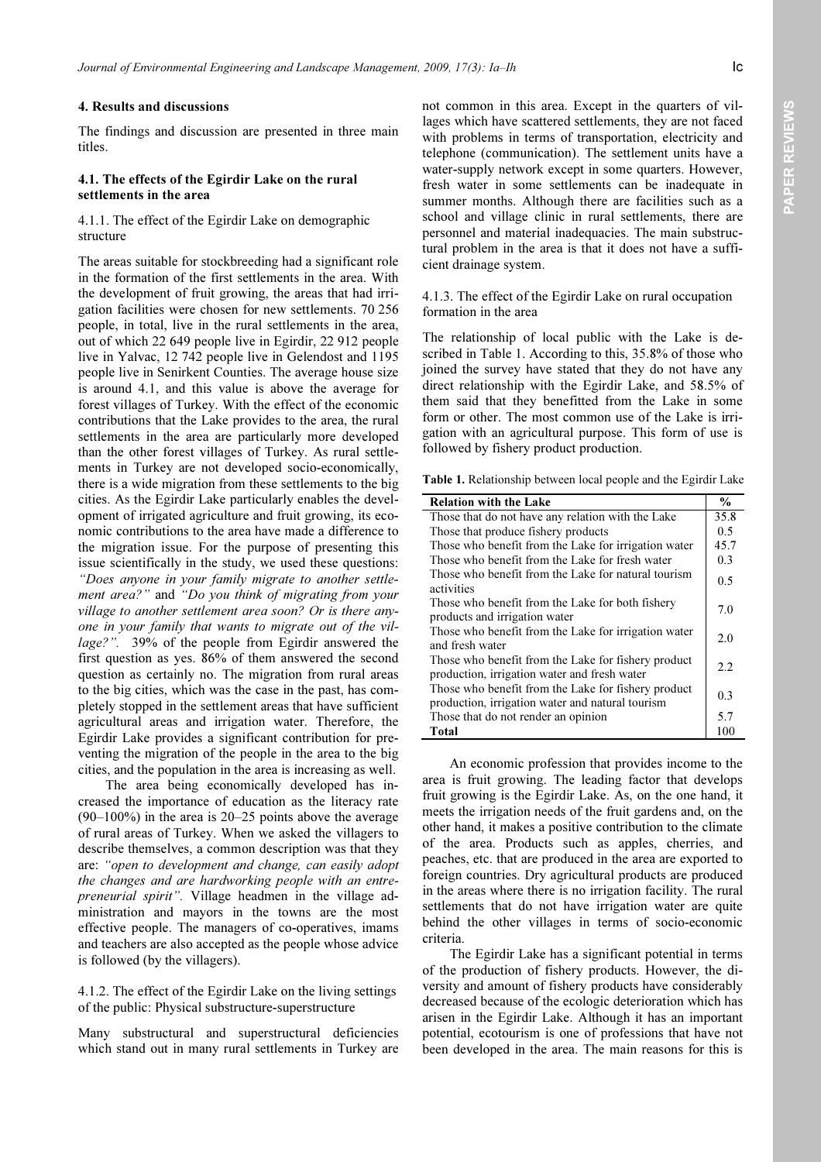#### 4. Results and discussions

The findings and discussion are presented in three main titles.

#### 4.1. The effects of the Egirdir Lake on the rural settlements in the area

### 4.1.1. The effect of the Egirdir Lake on demographic structure

The areas suitable for stockbreeding had a significant role in the formation of the first settlements in the area. With the development of fruit growing, the areas that had irrigation facilities were chosen for new settlements. 70 256 people, in total, live in the rural settlements in the area, out of which 22 649 people live in Egirdir, 22 912 people live in Yalvac, 12 742 people live in Gelendost and 1195 people live in Senirkent Counties. The average house size is around 4.1, and this value is above the average for forest villages of Turkey. With the effect of the economic contributions that the Lake provides to the area, the rural settlements in the area are particularly more developed than the other forest villages of Turkey. As rural settlements in Turkey are not developed socio-economically, there is a wide migration from these settlements to the big cities. As the Egirdir Lake particularly enables the development of irrigated agriculture and fruit growing, its economic contributions to the area have made a difference to the migration issue. For the purpose of presenting this issue scientifically in the study, we used these questions: "Does anyone in your family migrate to another settlement area?" and "Do you think of migrating from your village to another settlement area soon? Or is there anyone in your family that wants to migrate out of the village?". 39% of the people from Egirdir answered the first question as yes. 86% of them answered the second question as certainly no. The migration from rural areas to the big cities, which was the case in the past, has completely stopped in the settlement areas that have sufficient agricultural areas and irrigation water. Therefore, the Egirdir Lake provides a significant contribution for preventing the migration of the people in the area to the big cities, and the population in the area is increasing as well.

The area being economically developed has increased the importance of education as the literacy rate (90–100%) in the area is 20–25 points above the average of rural areas of Turkey. When we asked the villagers to describe themselves, a common description was that they are: "open to development and change, can easily adopt the changes and are hardworking people with an entrepreneurial spirit". Village headmen in the village administration and mayors in the towns are the most effective people. The managers of co-operatives, imams and teachers are also accepted as the people whose advice is followed (by the villagers).

### 4.1.2. The effect of the Egirdir Lake on the living settings of the public: Physical substructure-superstructure

Many substructural and superstructural deficiencies which stand out in many rural settlements in Turkey are not common in this area. Except in the quarters of villages which have scattered settlements, they are not faced with problems in terms of transportation, electricity and telephone (communication). The settlement units have a water-supply network except in some quarters. However, fresh water in some settlements can be inadequate in summer months. Although there are facilities such as a school and village clinic in rural settlements, there are personnel and material inadequacies. The main substructural problem in the area is that it does not have a sufficient drainage system.

### 4.1.3. The effect of the Egirdir Lake on rural occupation formation in the area

The relationship of local public with the Lake is described in Table 1. According to this, 35.8% of those who joined the survey have stated that they do not have any direct relationship with the Egirdir Lake, and 58.5% of them said that they benefitted from the Lake in some form or other. The most common use of the Lake is irrigation with an agricultural purpose. This form of use is followed by fishery product production.

Table 1. Relationship between local people and the Egirdir Lake

| <b>Relation with the Lake</b>                                                                           | $\frac{0}{0}$ |
|---------------------------------------------------------------------------------------------------------|---------------|
| Those that do not have any relation with the Lake                                                       | 35.8          |
| Those that produce fishery products                                                                     | 0.5           |
| Those who benefit from the Lake for irrigation water                                                    | 45.7          |
| Those who benefit from the Lake for fresh water                                                         | 0.3           |
| Those who benefit from the Lake for natural tourism<br>activities                                       | 0.5           |
| Those who benefit from the Lake for both fishery<br>products and irrigation water                       | 7.0           |
| Those who benefit from the Lake for irrigation water<br>and fresh water                                 | 2.0           |
| Those who benefit from the Lake for fishery product<br>production, irrigation water and fresh water     | 2.2           |
| Those who benefit from the Lake for fishery product<br>production, irrigation water and natural tourism | 0.3           |
| Those that do not render an opinion                                                                     | 5.7           |
| Total                                                                                                   | 100           |

An economic profession that provides income to the area is fruit growing. The leading factor that develops fruit growing is the Egirdir Lake. As, on the one hand, it meets the irrigation needs of the fruit gardens and, on the other hand, it makes a positive contribution to the climate of the area. Products such as apples, cherries, and peaches, etc. that are produced in the area are exported to foreign countries. Dry agricultural products are produced in the areas where there is no irrigation facility. The rural settlements that do not have irrigation water are quite behind the other villages in terms of socio-economic criteria.

The Egirdir Lake has a significant potential in terms of the production of fishery products. However, the diversity and amount of fishery products have considerably decreased because of the ecologic deterioration which has arisen in the Egirdir Lake. Although it has an important potential, ecotourism is one of professions that have not been developed in the area. The main reasons for this is

PAPER REVIEWS PAPER REVIEWS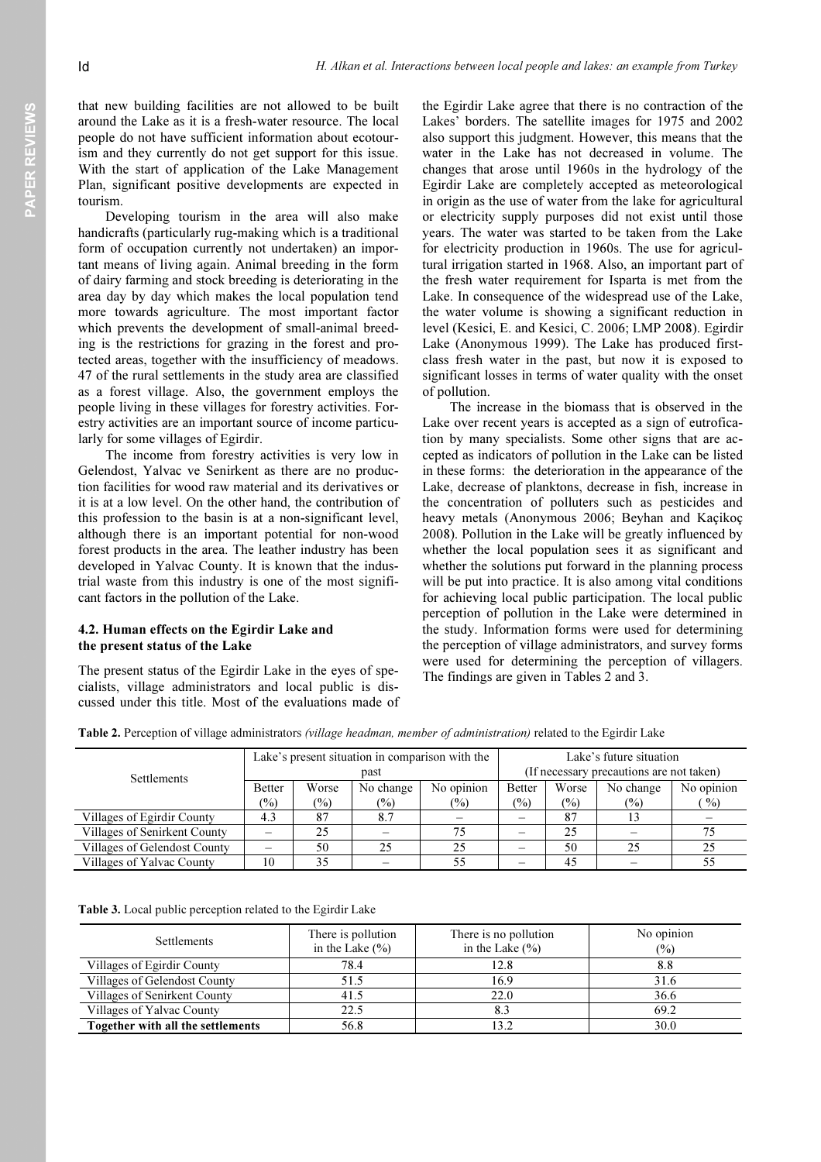PAPER REVIEWS PAPER REVIEWS

that new building facilities are not allowed to be built around the Lake as it is a fresh-water resource. The local people do not have sufficient information about ecotourism and they currently do not get support for this issue. With the start of application of the Lake Management Plan, significant positive developments are expected in tourism.

Developing tourism in the area will also make handicrafts (particularly rug-making which is a traditional form of occupation currently not undertaken) an important means of living again. Animal breeding in the form of dairy farming and stock breeding is deteriorating in the area day by day which makes the local population tend more towards agriculture. The most important factor which prevents the development of small-animal breeding is the restrictions for grazing in the forest and protected areas, together with the insufficiency of meadows. 47 of the rural settlements in the study area are classified as a forest village. Also, the government employs the people living in these villages for forestry activities. Forestry activities are an important source of income particularly for some villages of Egirdir.

The income from forestry activities is very low in Gelendost, Yalvac ve Senirkent as there are no production facilities for wood raw material and its derivatives or it is at a low level. On the other hand, the contribution of this profession to the basin is at a non-significant level, although there is an important potential for non-wood forest products in the area. The leather industry has been developed in Yalvac County. It is known that the industrial waste from this industry is one of the most significant factors in the pollution of the Lake.

# 4.2. Human effects on the Egirdir Lake and the present status of the Lake

The present status of the Egirdir Lake in the eyes of specialists, village administrators and local public is discussed under this title. Most of the evaluations made of the Egirdir Lake agree that there is no contraction of the Lakes' borders. The satellite images for 1975 and 2002 also support this judgment. However, this means that the water in the Lake has not decreased in volume. The changes that arose until 1960s in the hydrology of the Egirdir Lake are completely accepted as meteorological in origin as the use of water from the lake for agricultural or electricity supply purposes did not exist until those years. The water was started to be taken from the Lake for electricity production in 1960s. The use for agricultural irrigation started in 1968. Also, an important part of the fresh water requirement for Isparta is met from the Lake. In consequence of the widespread use of the Lake, the water volume is showing a significant reduction in level (Kesici, E. and Kesici, C. 2006; LMP 2008). Egirdir Lake (Anonymous 1999). The Lake has produced firstclass fresh water in the past, but now it is exposed to significant losses in terms of water quality with the onset of pollution.

The increase in the biomass that is observed in the Lake over recent years is accepted as a sign of eutrofication by many specialists. Some other signs that are accepted as indicators of pollution in the Lake can be listed in these forms: the deterioration in the appearance of the Lake, decrease of planktons, decrease in fish, increase in the concentration of polluters such as pesticides and heavy metals (Anonymous 2006; Beyhan and Kaçikoç 2008). Pollution in the Lake will be greatly influenced by whether the local population sees it as significant and whether the solutions put forward in the planning process will be put into practice. It is also among vital conditions for achieving local public participation. The local public perception of pollution in the Lake were determined in the study. Information forms were used for determining the perception of village administrators, and survey forms were used for determining the perception of villagers. The findings are given in Tables 2 and 3.

| Settlements                  | Lake's present situation in comparison with the |        |               | Lake's future situation                  |               |                |                |                 |
|------------------------------|-------------------------------------------------|--------|---------------|------------------------------------------|---------------|----------------|----------------|-----------------|
|                              | past                                            |        |               | (If necessary precautions are not taken) |               |                |                |                 |
|                              | <b>Better</b>                                   | Worse  | No change     | No opinion                               | <b>Better</b> | Worse          | No change      | No opinion      |
|                              | $\frac{6}{2}$                                   | $(\%)$ | $\frac{6}{2}$ | $\frac{6}{2}$                            | $\frac{1}{2}$ | $\binom{0}{0}$ | $\binom{0}{0}$ | $\mathcal{O}_0$ |
| Villages of Egirdir County   | 4.3                                             | 87     | 8.7           |                                          |               | 87             | 13             |                 |
| Villages of Senirkent County |                                                 | 25     |               | 75                                       |               | 25             |                |                 |
| Villages of Gelendost County |                                                 | 50     | 25            | 25                                       |               | 50             | 25             | 25              |
| Villages of Yalvac County    | 10                                              | 35     |               | 55                                       |               | 45             |                |                 |

Table 2. Perception of village administrators (village headman, member of administration) related to the Egirdir Lake

Table 3. Local public perception related to the Egirdir Lake

| Settlements                       | There is pollution<br>in the Lake $(\% )$ | There is no pollution<br>in the Lake $(\% )$ | No opinion<br>$\frac{1}{2}$ |
|-----------------------------------|-------------------------------------------|----------------------------------------------|-----------------------------|
| Villages of Egirdir County        | 78.4                                      | 12.8                                         | 8.8                         |
| Villages of Gelendost County      | 51.5                                      | 16.9                                         | 31.6                        |
| Villages of Senirkent County      | 41.5                                      | 22.0                                         | 36.6                        |
| Villages of Yalvac County         | 22.5                                      |                                              | 69.2                        |
| Together with all the settlements | 56.8                                      | 13.2                                         | 30.0                        |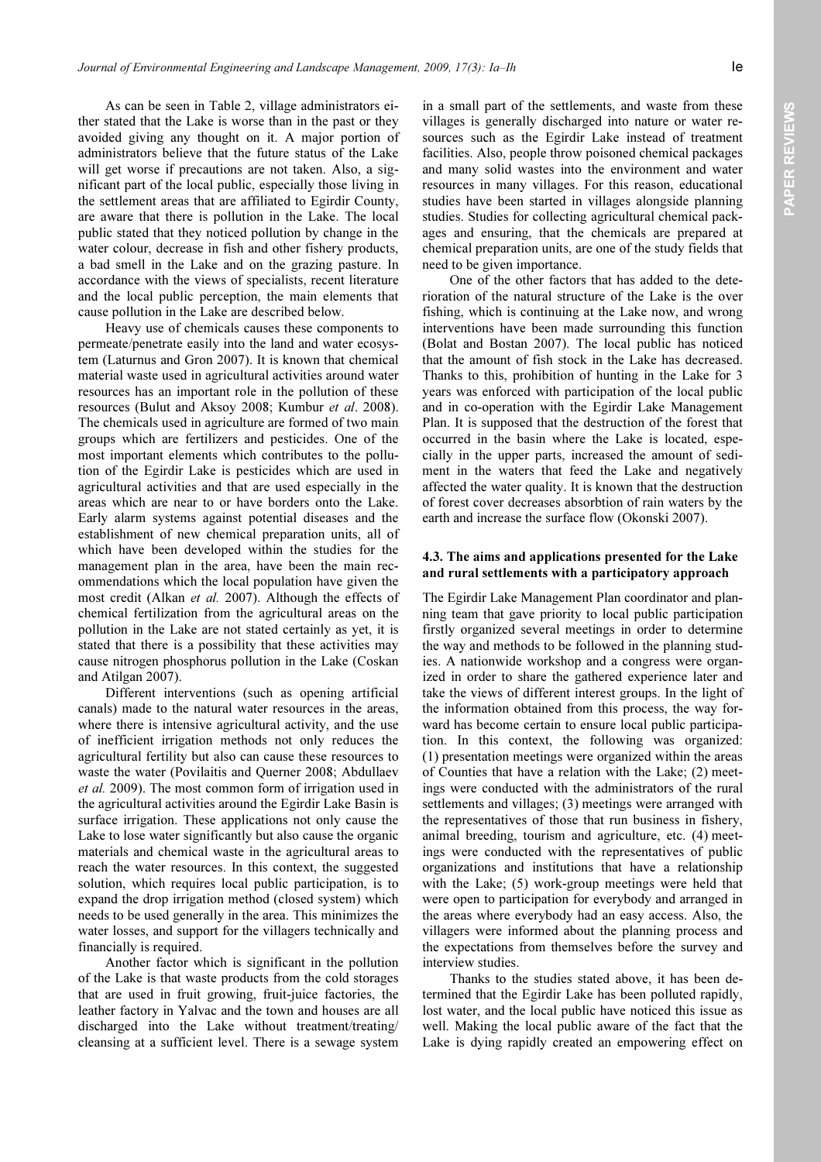As can be seen in Table 2, village administrators either stated that the Lake is worse than in the past or they avoided giving any thought on it. A major portion of administrators believe that the future status of the Lake will get worse if precautions are not taken. Also, a significant part of the local public, especially those living in the settlement areas that are affiliated to Egirdir County, are aware that there is pollution in the Lake. The local public stated that they noticed pollution by change in the water colour, decrease in fish and other fishery products, a bad smell in the Lake and on the grazing pasture. In accordance with the views of specialists, recent literature and the local public perception, the main elements that cause pollution in the Lake are described below.

Heavy use of chemicals causes these components to permeate/penetrate easily into the land and water ecosystem (Laturnus and Gron 2007). It is known that chemical material waste used in agricultural activities around water resources has an important role in the pollution of these resources (Bulut and Aksoy 2008; Kumbur et al. 2008). The chemicals used in agriculture are formed of two main groups which are fertilizers and pesticides. One of the most important elements which contributes to the pollution of the Egirdir Lake is pesticides which are used in agricultural activities and that are used especially in the areas which are near to or have borders onto the Lake. Early alarm systems against potential diseases and the establishment of new chemical preparation units, all of which have been developed within the studies for the management plan in the area, have been the main recommendations which the local population have given the most credit (Alkan et al. 2007). Although the effects of chemical fertilization from the agricultural areas on the pollution in the Lake are not stated certainly as yet, it is stated that there is a possibility that these activities may cause nitrogen phosphorus pollution in the Lake (Coskan and Atilgan 2007).

Different interventions (such as opening artificial canals) made to the natural water resources in the areas, where there is intensive agricultural activity, and the use of inefficient irrigation methods not only reduces the agricultural fertility but also can cause these resources to waste the water (Povilaitis and Querner 2008; Abdullaev et al. 2009). The most common form of irrigation used in the agricultural activities around the Egirdir Lake Basin is surface irrigation. These applications not only cause the Lake to lose water significantly but also cause the organic materials and chemical waste in the agricultural areas to reach the water resources. In this context, the suggested solution, which requires local public participation, is to expand the drop irrigation method (closed system) which needs to be used generally in the area. This minimizes the water losses, and support for the villagers technically and financially is required.

Another factor which is significant in the pollution of the Lake is that waste products from the cold storages that are used in fruit growing, fruit-juice factories, the leather factory in Yalvac and the town and houses are all discharged into the Lake without treatment/treating/ cleansing at a sufficient level. There is a sewage system in a small part of the settlements, and waste from these villages is generally discharged into nature or water resources such as the Egirdir Lake instead of treatment facilities. Also, people throw poisoned chemical packages and many solid wastes into the environment and water resources in many villages. For this reason, educational studies have been started in villages alongside planning studies. Studies for collecting agricultural chemical packages and ensuring, that the chemicals are prepared at chemical preparation units, are one of the study fields that need to be given importance.

One of the other factors that has added to the deterioration of the natural structure of the Lake is the over fishing, which is continuing at the Lake now, and wrong interventions have been made surrounding this function (Bolat and Bostan 2007). The local public has noticed that the amount of fish stock in the Lake has decreased. Thanks to this, prohibition of hunting in the Lake for 3 years was enforced with participation of the local public and in co-operation with the Egirdir Lake Management Plan. It is supposed that the destruction of the forest that occurred in the basin where the Lake is located, especially in the upper parts, increased the amount of sediment in the waters that feed the Lake and negatively affected the water quality. It is known that the destruction of forest cover decreases absorbtion of rain waters by the earth and increase the surface flow (Okonski 2007).

### 4.3. The aims and applications presented for the Lake and rural settlements with a participatory approach

The Egirdir Lake Management Plan coordinator and planning team that gave priority to local public participation firstly organized several meetings in order to determine the way and methods to be followed in the planning studies. A nationwide workshop and a congress were organized in order to share the gathered experience later and take the views of different interest groups. In the light of the information obtained from this process, the way forward has become certain to ensure local public participation. In this context, the following was organized: (1) presentation meetings were organized within the areas of Counties that have a relation with the Lake; (2) meetings were conducted with the administrators of the rural settlements and villages; (3) meetings were arranged with the representatives of those that run business in fishery, animal breeding, tourism and agriculture, etc. (4) meetings were conducted with the representatives of public organizations and institutions that have a relationship with the Lake; (5) work-group meetings were held that were open to participation for everybody and arranged in the areas where everybody had an easy access. Also, the villagers were informed about the planning process and the expectations from themselves before the survey and interview studies.

Thanks to the studies stated above, it has been determined that the Egirdir Lake has been polluted rapidly, lost water, and the local public have noticed this issue as well. Making the local public aware of the fact that the Lake is dying rapidly created an empowering effect on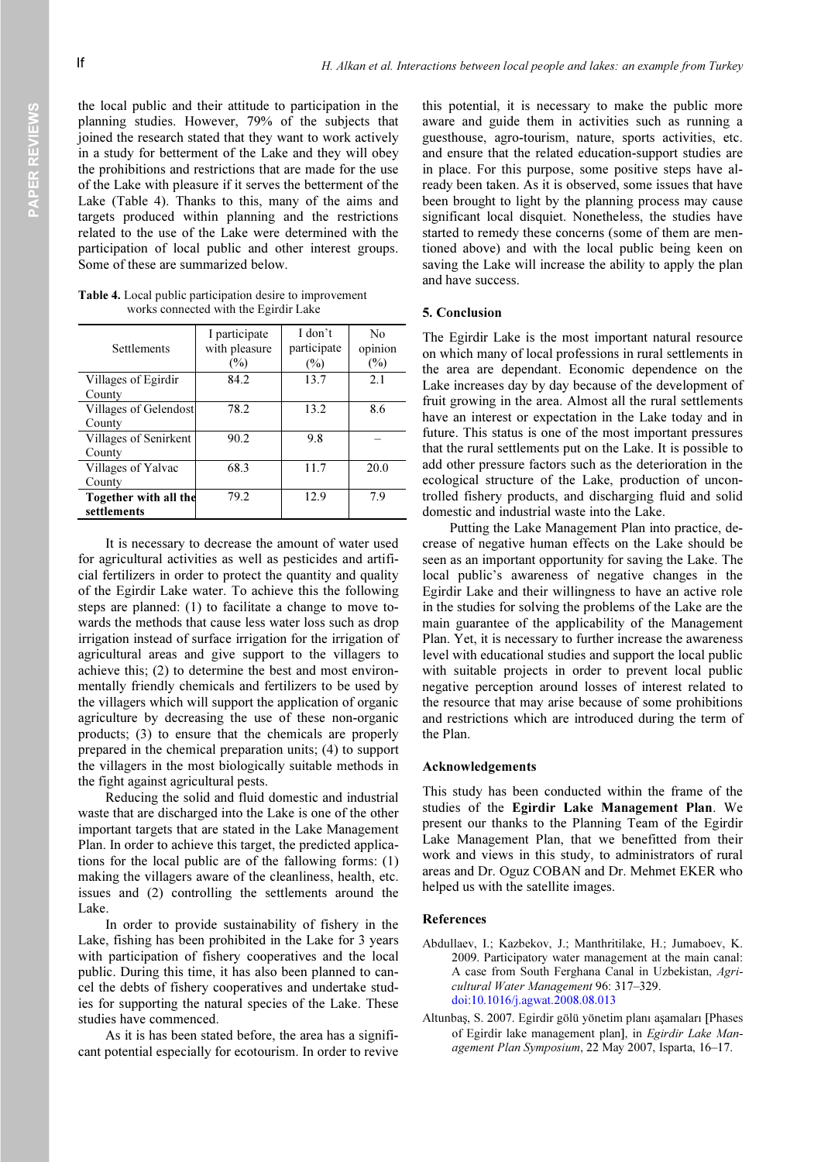the local public and their attitude to participation in the planning studies. However, 79% of the subjects that joined the research stated that they want to work actively in a study for betterment of the Lake and they will obey the prohibitions and restrictions that are made for the use of the Lake with pleasure if it serves the betterment of the Lake (Table 4). Thanks to this, many of the aims and targets produced within planning and the restrictions related to the use of the Lake were determined with the participation of local public and other interest groups. Some of these are summarized below.

Table 4. Local public participation desire to improvement works connected with the Egirdir Lake

| Settlements           | I participate<br>with pleasure<br>(%) | I don't<br>participate<br>(%) | No<br>opinion<br>(%) |
|-----------------------|---------------------------------------|-------------------------------|----------------------|
| Villages of Egirdir   | 84.2                                  | 13.7                          | 2.1                  |
| County                |                                       |                               |                      |
| Villages of Gelendost | 78.2                                  | 13.2                          | 8.6                  |
| County                |                                       |                               |                      |
| Villages of Senirkent | 90.2                                  | 9.8                           |                      |
| County                |                                       |                               |                      |
| Villages of Yalvac    | 68.3                                  | 11.7                          | 20.0                 |
| County                |                                       |                               |                      |
| Together with all the | 79.2                                  | 12.9                          | 7.9                  |
| settlements           |                                       |                               |                      |

It is necessary to decrease the amount of water used for agricultural activities as well as pesticides and artificial fertilizers in order to protect the quantity and quality of the Egirdir Lake water. To achieve this the following steps are planned: (1) to facilitate a change to move towards the methods that cause less water loss such as drop irrigation instead of surface irrigation for the irrigation of agricultural areas and give support to the villagers to achieve this; (2) to determine the best and most environmentally friendly chemicals and fertilizers to be used by the villagers which will support the application of organic agriculture by decreasing the use of these non-organic products; (3) to ensure that the chemicals are properly prepared in the chemical preparation units; (4) to support the villagers in the most biologically suitable methods in the fight against agricultural pests.

Reducing the solid and fluid domestic and industrial waste that are discharged into the Lake is one of the other important targets that are stated in the Lake Management Plan. In order to achieve this target, the predicted applications for the local public are of the fallowing forms: (1) making the villagers aware of the cleanliness, health, etc. issues and (2) controlling the settlements around the Lake.

In order to provide sustainability of fishery in the Lake, fishing has been prohibited in the Lake for 3 years with participation of fishery cooperatives and the local public. During this time, it has also been planned to cancel the debts of fishery cooperatives and undertake studies for supporting the natural species of the Lake. These studies have commenced.

As it is has been stated before, the area has a significant potential especially for ecotourism. In order to revive this potential, it is necessary to make the public more aware and guide them in activities such as running a guesthouse, agro-tourism, nature, sports activities, etc. and ensure that the related education-support studies are in place. For this purpose, some positive steps have already been taken. As it is observed, some issues that have been brought to light by the planning process may cause significant local disquiet. Nonetheless, the studies have started to remedy these concerns (some of them are mentioned above) and with the local public being keen on saving the Lake will increase the ability to apply the plan and have success.

#### 5. Conclusion

The Egirdir Lake is the most important natural resource on which many of local professions in rural settlements in the area are dependant. Economic dependence on the Lake increases day by day because of the development of fruit growing in the area. Almost all the rural settlements have an interest or expectation in the Lake today and in future. This status is one of the most important pressures that the rural settlements put on the Lake. It is possible to add other pressure factors such as the deterioration in the ecological structure of the Lake, production of uncontrolled fishery products, and discharging fluid and solid domestic and industrial waste into the Lake.

Putting the Lake Management Plan into practice, decrease of negative human effects on the Lake should be seen as an important opportunity for saving the Lake. The local public's awareness of negative changes in the Egirdir Lake and their willingness to have an active role in the studies for solving the problems of the Lake are the main guarantee of the applicability of the Management Plan. Yet, it is necessary to further increase the awareness level with educational studies and support the local public with suitable projects in order to prevent local public negative perception around losses of interest related to the resource that may arise because of some prohibitions and restrictions which are introduced during the term of the Plan.

#### Acknowledgements

This study has been conducted within the frame of the studies of the Egirdir Lake Management Plan. We present our thanks to the Planning Team of the Egirdir Lake Management Plan, that we benefitted from their work and views in this study, to administrators of rural areas and Dr. Oguz COBAN and Dr. Mehmet EKER who helped us with the satellite images.

#### References

- Abdullaev, I.; Kazbekov, J.; Manthritilake, H.; Jumaboev, K. 2009. Participatory water management at the main canal: A case from South Ferghana Canal in Uzbekistan, Agricultural Water Management 96: 317–329. doi:10.1016/j.agwat.2008.08.013
- Altunbaş, S. 2007. Egirdir gölü yönetim planı aşamaları [Phases of Egirdir lake management plan], in Egirdir Lake Management Plan Symposium, 22 May 2007, Isparta, 16–17.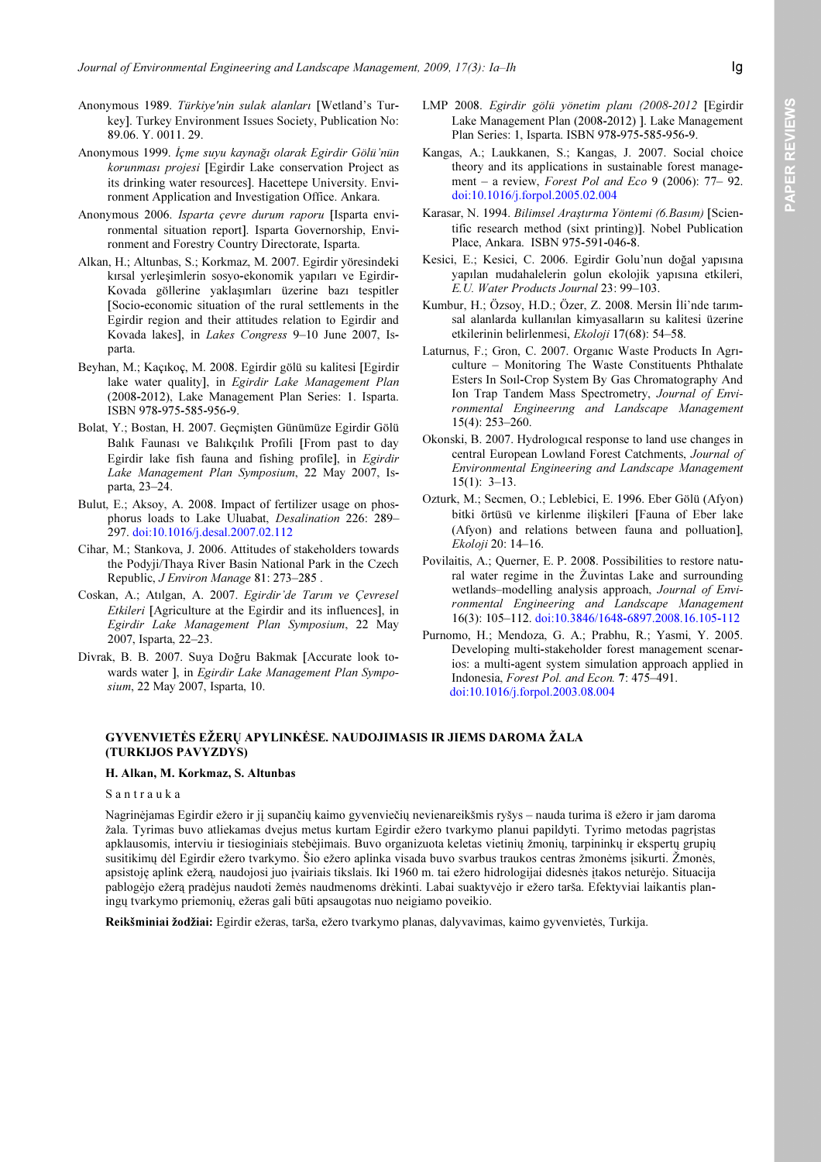- Anonymous 1989. Türkiye'nin sulak alanları [Wetland's Turkey]. Turkey Environment Issues Society, Publication No: 89.06. Y. 0011. 29.
- Anonymous 1999. İçme suyu kaynağı olarak Egirdir Gölü'nün korunması projesi [Egirdir Lake conservation Project as its drinking water resources]. Hacettepe University. Environment Application and Investigation Office. Ankara.
- Anonymous 2006. Isparta çevre durum raporu [Isparta environmental situation report]. Isparta Governorship, Environment and Forestry Country Directorate, Isparta.
- Alkan, H.; Altunbas, S.; Korkmaz, M. 2007. Egirdir yöresindeki kırsal yerleşimlerin sosyo-ekonomik yapıları ve Egirdir-Kovada göllerine yaklaşımları üzerine bazı tespitler [Socio-economic situation of the rural settlements in the Egirdir region and their attitudes relation to Egirdir and Kovada lakes], in Lakes Congress 9–10 June 2007, Isparta.
- Beyhan, M.; Kaçıkoç, M. 2008. Egirdir gölü su kalitesi [Egirdir lake water quality], in Egirdir Lake Management Plan (2008-2012), Lake Management Plan Series: 1. Isparta. ISBN 978-975-585-956-9.
- Bolat, Y.; Bostan, H. 2007. Geçmişten Günümüze Egirdir Gölü Balık Faunası ve Balıkçılık Profili [From past to day Egirdir lake fish fauna and fishing profile], in Egirdir Lake Management Plan Symposium, 22 May 2007, Isparta, 23–24.
- Bulut, E.; Aksoy, A. 2008. Impact of fertilizer usage on phosphorus loads to Lake Uluabat, Desalination 226: 289– 297. doi:10.1016/j.desal.2007.02.112
- Cihar, M.; Stankova, J. 2006. Attitudes of stakeholders towards the Podyji/Thaya River Basin National Park in the Czech Republic, J Environ Manage 81: 273–285 .
- Coskan, A.; Atılgan, A. 2007. Egirdir'de Tarım ve Çevresel Etkileri [Agriculture at the Egirdir and its influences], in Egirdir Lake Management Plan Symposium, 22 May 2007, Isparta, 22–23.
- Divrak, B. B. 2007. Suya Doğru Bakmak [Accurate look towards water ], in Egirdir Lake Management Plan Symposium, 22 May 2007, Isparta, 10.
- LMP 2008. Egirdir gölü yönetim planı (2008-2012 [Egirdir Lake Management Plan (2008-2012) ]. Lake Management Plan Series: 1, Isparta. ISBN 978-975-585-956-9.
- Kangas, A.; Laukkanen, S.; Kangas, J. 2007. Social choice theory and its applications in sustainable forest management – a review, Forest Pol and Eco 9 (2006):  $77-92$ . doi:10.1016/j.forpol.2005.02.004
- Karasar, N. 1994. Bilimsel Araştırma Yöntemi (6.Basım) [Scientific research method (sixt printing)]. Nobel Publication Place, Ankara. ISBN 975-591-046-8.
- Kesici, E.; Kesici, C. 2006. Egirdir Golu'nun doğal yapısına yapılan mudahalelerin golun ekolojik yapısına etkileri, E.U. Water Products Journal 23: 99–103.
- Kumbur, H.; Özsoy, H.D.; Özer, Z. 2008. Mersin İli'nde tarımsal alanlarda kullanılan kimyasalların su kalitesi üzerine etkilerinin belirlenmesi, Ekoloji 17(68): 54–58.
- Laturnus, F.; Gron, C. 2007. Organıc Waste Products In Agrıculture – Monitoring The Waste Constituents Phthalate Esters In Soıl-Crop System By Gas Chromatography And Ion Trap Tandem Mass Spectrometry, Journal of Environmental Engineerıng and Landscape Management 15(4): 253–260.
- Okonski, B. 2007. Hydrologıcal response to land use changes in central European Lowland Forest Catchments, Journal of Environmental Engineering and Landscape Management  $15(1)$ : 3-13.
- Ozturk, M.; Secmen, O.; Leblebici, E. 1996. Eber Gölü (Afyon) bitki örtüsü ve kirlenme ilişkileri [Fauna of Eber lake (Afyon) and relations between fauna and polluation], Ekoloji 20: 14–16.
- Povilaitis, A.; Querner, E. P. 2008. Possibilities to restore natural water regime in the Žuvintas Lake and surrounding wetlands–modelling analysis approach, Journal of Environmental Engineering and Landscape Management 16(3): 105–112. doi:10.3846/1648-6897.2008.16.105-112
- Purnomo, H.; Mendoza, G. A.; Prabhu, R.; Yasmi, Y. 2005. Developing multi-stakeholder forest management scenarios: a multi-agent system simulation approach applied in Indonesia, Forest Pol. and Econ. 7: 475–491. doi:10.1016/j.forpol.2003.08.004

# GYVENVIETĖS EŽERŲ APYLINKĖSE. NAUDOJIMASIS IR JIEMS DAROMA ŽALA (TURKIJOS PAVYZDYS)

#### H. Alkan, M. Korkmaz, S. Altunbas

#### S a n t r a u k a

Nagrinėjamas Egirdir ežero ir jį supančių kaimo gyvenviečių nevienareikšmis ryšys – nauda turima iš ežero ir jam daroma žala. Tyrimas buvo atliekamas dvejus metus kurtam Egirdir ežero tvarkymo planui papildyti. Tyrimo metodas pagrįstas apklausomis, interviu ir tiesioginiais stebėjimais. Buvo organizuota keletas vietinių žmonių, tarpininkų ir ekspertų grupių susitikimų dėl Egirdir ežero tvarkymo. Šio ežero aplinka visada buvo svarbus traukos centras žmonėms įsikurti. Žmonės, apsistoję aplink ežerą, naudojosi juo įvairiais tikslais. Iki 1960 m. tai ežero hidrologijai didesnės įtakos neturėjo. Situacija pablogėjo ežerą pradėjus naudoti žemės naudmenoms drėkinti. Labai suaktyvėjo ir ežero tarša. Efektyviai laikantis planingų tvarkymo priemonių, ežeras gali būti apsaugotas nuo neigiamo poveikio.

Reikšminiai žodžiai: Egirdir ežeras, tarša, ežero tvarkymo planas, dalyvavimas, kaimo gyvenvietės, Turkija.